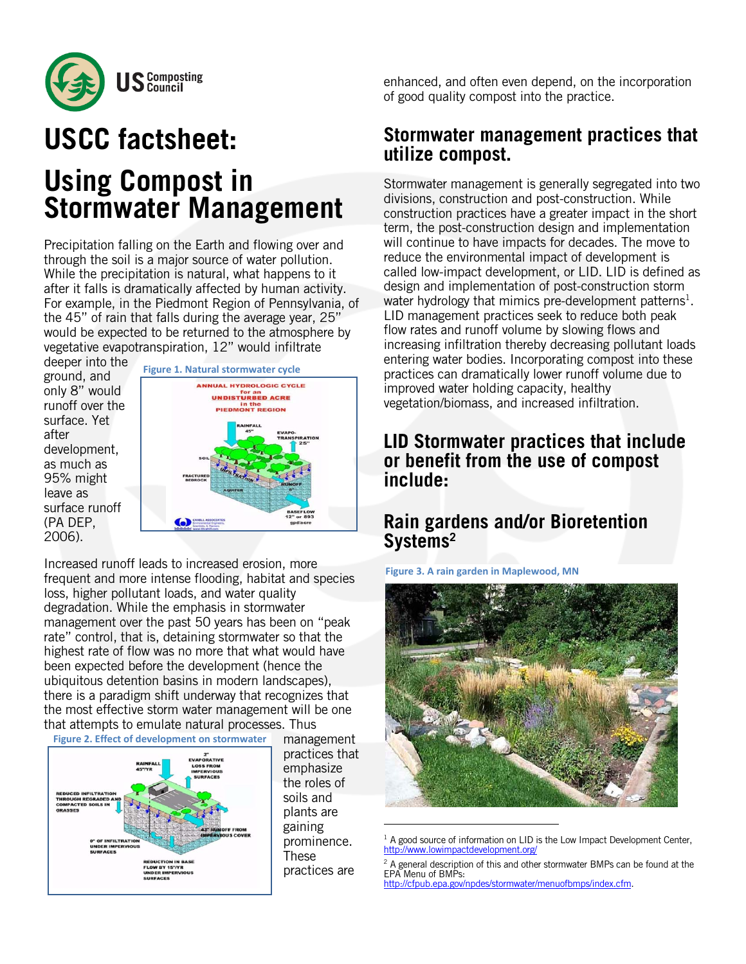

# **USCC factsheet:**

# **Using Compost in Stormwater Management**

Precipitation falling on the Earth and flowing over and through the soil is a major source of water pollution. While the precipitation is natural, what happens to it after it falls is dramatically affected by human activity. For example, in the Piedmont Region of Pennsylvania, of the 45" of rain that falls during the average year, 25" would be expected to be returned to the atmosphere by vegetative evapotranspiration, 12" would infiltrate

deeper into the ground, and only 8" would runoff over the surface. Yet after development, as much as 95% might leave as surface runoff (PA DEP, 2006).



Increased runoff leads to increased erosion, more frequent and more intense flooding, habitat and species loss, higher pollutant loads, and water quality degradation. While the emphasis in stormwater management over the past 50 years has been on "peak rate" control, that is, detaining stormwater so that the highest rate of flow was no more that what would have been expected before the development (hence the ubiquitous detention basins in modern landscapes), there is a paradigm shift underway that recognizes that the most effective storm water management will be one that attempts to emulate natural processes. Thus



management practices that emphasize the roles of soils and plants are gaining prominence. These practices are

enhanced, and often even depend, on the incorporation of good quality compost into the practice.

# **Stormwater management practices that utilize compost.**

Stormwater management is generally segregated into two divisions, construction and post-construction. While construction practices have a greater impact in the short term, the post-construction design and implementation will continue to have impacts for decades. The move to reduce the environmental impact of development is called low-impact development, or LID. LID is defined as design and implementation of post-construction storm water hydrology that mimics pre-development patterns<sup>1</sup>. LID management practices seek to reduce both peak flow rates and runoff volume by slowing flows and increasing infiltration thereby decreasing pollutant loads entering water bodies. Incorporating compost into these practices can dramatically lower runoff volume due to improved water holding capacity, healthy vegetation/biomass, and increased infiltration.

# **LID Stormwater practices that include or benefit from the use of compost include:**

# **Rain gardens and/or Bioretention Systems2**

**Figure 3. A rain garden in Maplewood, MN**



 $1$  A good source of information on LID is the Low Impact Development Center, http://www.lowimpactdevelopment.org/

 $^2$  A general description of this and other stormwater BMPs can be found at the EPA Menu of BMPs: http://cfpub.epa.gov/npdes/stormwater/menuofbmps/index.cfm.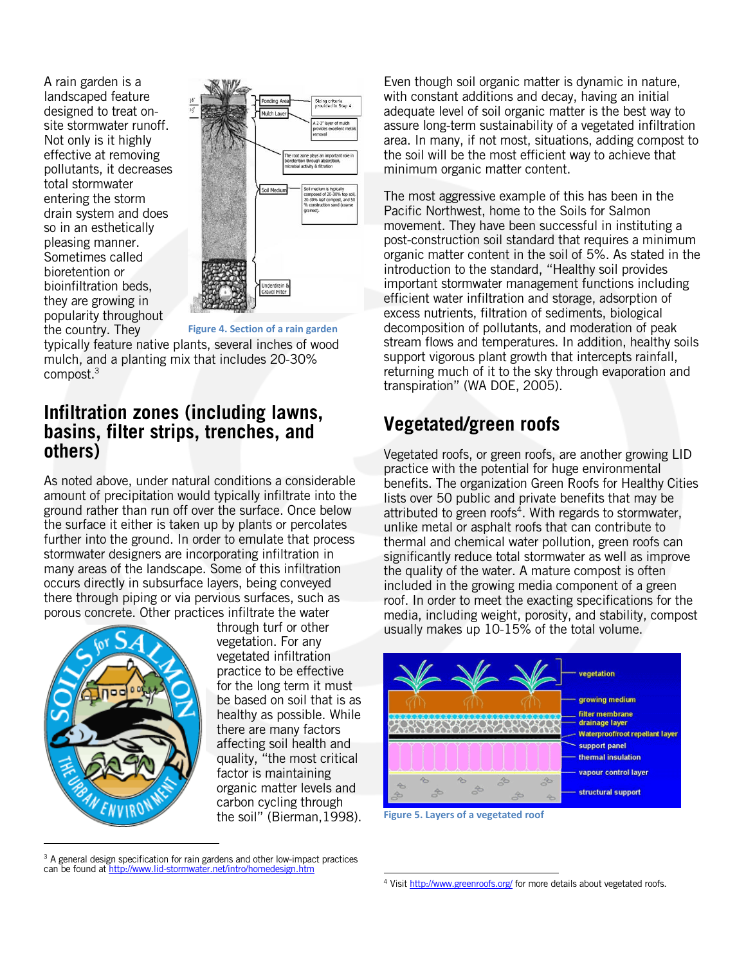A rain garden is a landscaped feature designed to treat onsite stormwater runoff. Not only is it highly effective at removing pollutants, it decreases total stormwater entering the storm drain system and does so in an esthetically pleasing manner. Sometimes called bioretention or bioinfiltration beds, they are growing in popularity throughout the country. They



**Figure 4. Section of a rain garden**

typically feature native plants, several inches of wood mulch, and a planting mix that includes 20-30% compost.3

### **Infiltration zones (including lawns, basins, filter strips, trenches, and others)**

As noted above, under natural conditions a considerable amount of precipitation would typically infiltrate into the ground rather than run off over the surface. Once below the surface it either is taken up by plants or percolates further into the ground. In order to emulate that process stormwater designers are incorporating infiltration in many areas of the landscape. Some of this infiltration occurs directly in subsurface layers, being conveyed there through piping or via pervious surfaces, such as porous concrete. Other practices infiltrate the water



through turf or other vegetation. For any vegetated infiltration practice to be effective for the long term it must be based on soil that is as healthy as possible. While there are many factors affecting soil health and quality, "the most critical factor is maintaining organic matter levels and carbon cycling through the soil" (Bierman,1998).

 $3$  A general design specification for rain gardens and other low-impact practices can be found at http://www.lid-stormwater.net/intro/homedesign.htm

Even though soil organic matter is dynamic in nature, with constant additions and decay, having an initial adequate level of soil organic matter is the best way to assure long-term sustainability of a vegetated infiltration area. In many, if not most, situations, adding compost to the soil will be the most efficient way to achieve that minimum organic matter content.

The most aggressive example of this has been in the Pacific Northwest, home to the Soils for Salmon movement. They have been successful in instituting a post-construction soil standard that requires a minimum organic matter content in the soil of 5%. As stated in the introduction to the standard, "Healthy soil provides important stormwater management functions including efficient water infiltration and storage, adsorption of excess nutrients, filtration of sediments, biological decomposition of pollutants, and moderation of peak stream flows and temperatures. In addition, healthy soils support vigorous plant growth that intercepts rainfall, returning much of it to the sky through evaporation and transpiration" (WA DOE, 2005).

# **Vegetated/green roofs**

Vegetated roofs, or green roofs, are another growing LID practice with the potential for huge environmental benefits. The organization Green Roofs for Healthy Cities lists over 50 public and private benefits that may be attributed to green roofs<sup>4</sup>. With regards to stormwater, unlike metal or asphalt roofs that can contribute to thermal and chemical water pollution, green roofs can significantly reduce total stormwater as well as improve the quality of the water. A mature compost is often included in the growing media component of a green roof. In order to meet the exacting specifications for the media, including weight, porosity, and stability, compost usually makes up 10-15% of the total volume.





 <sup>4</sup> Visit http://www.greenroofs.org/ for more details about vegetated roofs.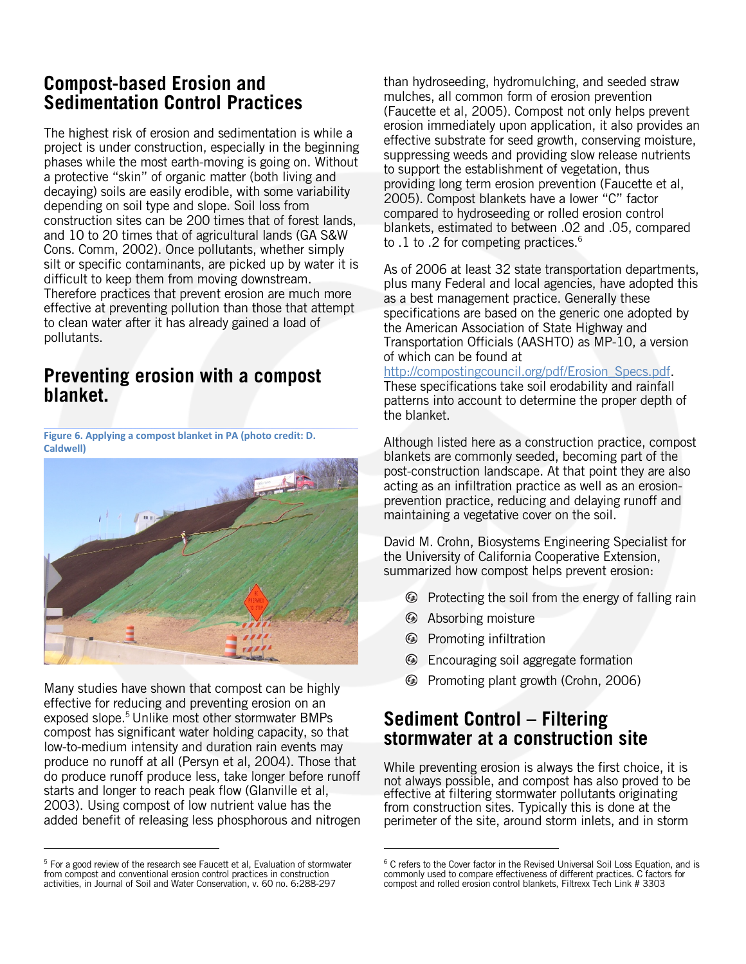# **Compost-based Erosion and Sedimentation Control Practices**

The highest risk of erosion and sedimentation is while a project is under construction, especially in the beginning phases while the most earth-moving is going on. Without a protective "skin" of organic matter (both living and decaying) soils are easily erodible, with some variability depending on soil type and slope. Soil loss from construction sites can be 200 times that of forest lands, and 10 to 20 times that of agricultural lands (GA S&W Cons. Comm, 2002). Once pollutants, whether simply silt or specific contaminants, are picked up by water it is difficult to keep them from moving downstream. Therefore practices that prevent erosion are much more effective at preventing pollution than those that attempt to clean water after it has already gained a load of pollutants.

# **Preventing erosion with a compost blanket.**

**Figure 6. Applying a compost blanket in PA (photo credit: D. Caldwell)**



Many studies have shown that compost can be highly effective for reducing and preventing erosion on an exposed slope.<sup>5</sup> Unlike most other stormwater BMPs compost has significant water holding capacity, so that low-to-medium intensity and duration rain events may produce no runoff at all (Persyn et al, 2004). Those that do produce runoff produce less, take longer before runoff starts and longer to reach peak flow (Glanville et al, 2003). Using compost of low nutrient value has the added benefit of releasing less phosphorous and nitrogen

than hydroseeding, hydromulching, and seeded straw mulches, all common form of erosion prevention (Faucette et al, 2005). Compost not only helps prevent erosion immediately upon application, it also provides an effective substrate for seed growth, conserving moisture, suppressing weeds and providing slow release nutrients to support the establishment of vegetation, thus providing long term erosion prevention (Faucette et al, 2005). Compost blankets have a lower "C" factor compared to hydroseeding or rolled erosion control blankets, estimated to between .02 and .05, compared to .1 to .2 for competing practices.<sup>6</sup>

As of 2006 at least 32 state transportation departments, plus many Federal and local agencies, have adopted this as a best management practice. Generally these specifications are based on the generic one adopted by the American Association of State Highway and Transportation Officials (AASHTO) as MP-10, a version of which can be found at

#### http://compostingcouncil.org/pdf/Erosion\_Specs.pdf.

These specifications take soil erodability and rainfall patterns into account to determine the proper depth of the blanket.

Although listed here as a construction practice, compost blankets are commonly seeded, becoming part of the post-construction landscape. At that point they are also acting as an infiltration practice as well as an erosionprevention practice, reducing and delaying runoff and maintaining a vegetative cover on the soil.

David M. Crohn, Biosystems Engineering Specialist for the University of California Cooperative Extension, summarized how compost helps prevent erosion:

- **E** Protecting the soil from the energy of falling rain
- **Absorbing moisture**
- **E** Promoting infiltration

- **Encouraging soil aggregate formation**
- Promoting plant growth (Crohn, 2006)

# **Sediment Control – Filtering stormwater at a construction site**

While preventing erosion is always the first choice, it is not always possible, and compost has also proved to be effective at filtering stormwater pollutants originating from construction sites. Typically this is done at the perimeter of the site, around storm inlets, and in storm

<sup>&</sup>lt;sup>5</sup> For a good review of the research see Faucett et al, Evaluation of stormwater from compost and conventional erosion control practices in construction activities, in Journal of Soil and Water Conservation, v. 60 no. 6:288-297

<sup>&</sup>lt;sup>6</sup> C refers to the Cover factor in the Revised Universal Soil Loss Equation, and is commonly used to compare effectiveness of different practices. C factors for compost and rolled erosion control blankets, Filtrexx Tech Link # 3303